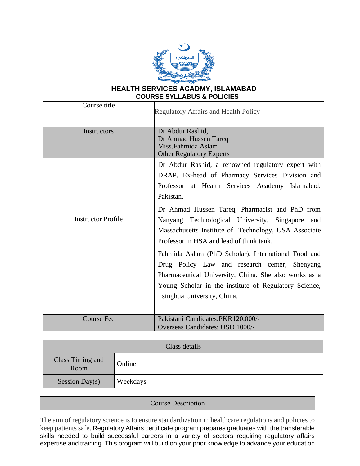

### **HEALTH SERVICES ACADMY, ISLAMABAD COURSE SYLLABUS & POLICIES**

| Course title              | <b>Regulatory Affairs and Health Policy</b>                                                                                                                                                                                                           |  |  |  |
|---------------------------|-------------------------------------------------------------------------------------------------------------------------------------------------------------------------------------------------------------------------------------------------------|--|--|--|
| <b>Instructors</b>        | Dr Abdur Rashid,<br>Dr Ahmad Hussen Tareq<br>Miss.Fahmida Aslam<br><b>Other Regulatory Experts</b>                                                                                                                                                    |  |  |  |
|                           | Dr Abdur Rashid, a renowned regulatory expert with<br>DRAP, Ex-head of Pharmacy Services Division and<br>Professor at Health Services Academy Islamabad,<br>Pakistan.                                                                                 |  |  |  |
| <b>Instructor Profile</b> | Dr Ahmad Hussen Tareq, Pharmacist and PhD from<br>Nanyang Technological University, Singapore<br>and<br>Massachusetts Institute of Technology, USA Associate<br>Professor in HSA and lead of think tank.                                              |  |  |  |
|                           | Fahmida Aslam (PhD Scholar), International Food and<br>Drug Policy Law and research center, Shenyang<br>Pharmaceutical University, China. She also works as a<br>Young Scholar in the institute of Regulatory Science,<br>Tsinghua University, China. |  |  |  |
| <b>Course Fee</b>         | Pakistani Candidates:PKR120,000/-<br>Overseas Candidates: USD 1000/-                                                                                                                                                                                  |  |  |  |

| Class details            |          |  |
|--------------------------|----------|--|
| Class Timing and<br>Room | Online   |  |
| Session Day(s)           | Weekdays |  |

Course Description The aim of regulatory science is to ensure standardization in healthcare regulations and policies to keep patients safe. Regulatory Affairs certificate program prepares graduates with the transferable skills needed to build successful careers in a variety of sectors requiring regulatory affairs expertise and training. This program will build on your prior knowledge to advance your education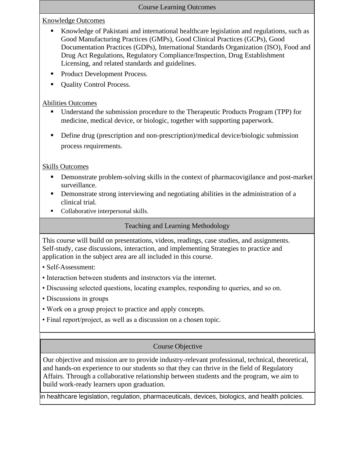### Course Learning Outcomes

Knowledge Outcomes

- Knowledge of Pakistani and international healthcare legislation and regulations, such as Good Manufacturing Practices (GMPs), Good Clinical Practices (GCPs), Good Documentation Practices (GDPs), International Standards Organization (ISO), Food and Drug Act Regulations, Regulatory Compliance/Inspection, Drug Establishment Licensing, and related standards and guidelines.
- Product Development Process.
- Quality Control Process.

Abilities Outcomes

- Understand the submission procedure to the Therapeutic Products Program (TPP) for medicine, medical device, or biologic, together with supporting paperwork.
- Define drug (prescription and non-prescription)/medical device/biologic submission process requirements.

Skills Outcomes

- Demonstrate problem-solving skills in the context of pharmacovigilance and post-market surveillance.
- **•** Demonstrate strong interviewing and negotiating abilities in the administration of a clinical trial.
- Collaborative interpersonal skills.

## Teaching and Learning Methodology

This course will build on presentations, videos, readings, case studies, and assignments. Self-study, case discussions, interaction, and implementing Strategies to practice and application in the subject area are all included in this course.

- Self-Assessment:
- Interaction between students and instructors via the internet.
- Discussing selected questions, locating examples, responding to queries, and so on.
- Discussions in groups
- Work on a group project to practice and apply concepts.
- Final report/project, as well as a discussion on a chosen topic.

# Course Objective

Our objective and mission are to provide industry-relevant professional, technical, theoretical, and hands-on experience to our students so that they can thrive in the field of Regulatory Affairs. Through a collaborative relationship between students and the program, we aim to build work-ready learners upon graduation.

in healthcare legislation, regulation, pharmaceuticals, devices, biologics, and health policies.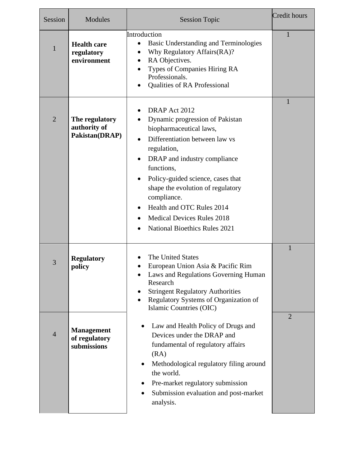| Session        | <b>Modules</b>                                    | <b>Session Topic</b>                                                                                                                                                                                                                                                                                                                                                                       | Credit hours   |
|----------------|---------------------------------------------------|--------------------------------------------------------------------------------------------------------------------------------------------------------------------------------------------------------------------------------------------------------------------------------------------------------------------------------------------------------------------------------------------|----------------|
| $\mathbf{1}$   | <b>Health care</b><br>regulatory<br>environment   | Introduction<br>Basic Understanding and Terminologies<br>٠<br>Why Regulatory Affairs (RA)?<br>RA Objectives.<br>Types of Companies Hiring RA<br>Professionals.<br>Qualities of RA Professional                                                                                                                                                                                             | 1              |
| $\overline{2}$ | The regulatory<br>authority of<br>Pakistan(DRAP)  | DRAP Act 2012<br>$\bullet$<br>Dynamic progression of Pakistan<br>biopharmaceutical laws,<br>Differentiation between law vs<br>regulation,<br>DRAP and industry compliance<br>functions,<br>Policy-guided science, cases that<br>shape the evolution of regulatory<br>compliance.<br>Health and OTC Rules 2014<br><b>Medical Devices Rules 2018</b><br><b>National Bioethics Rules 2021</b> | 1              |
| 3              | <b>Regulatory</b><br>policy                       | The United States<br>European Union Asia & Pacific Rim<br>Laws and Regulations Governing Human<br>Research<br><b>Stringent Regulatory Authorities</b><br>Regulatory Systems of Organization of<br>Islamic Countries (OIC)                                                                                                                                                                  | $\mathbf{1}$   |
| $\overline{4}$ | <b>Management</b><br>of regulatory<br>submissions | Law and Health Policy of Drugs and<br>Devices under the DRAP and<br>fundamental of regulatory affairs<br>(RA)<br>Methodological regulatory filing around<br>the world.<br>Pre-market regulatory submission<br>$\bullet$<br>Submission evaluation and post-market<br>٠<br>analysis.                                                                                                         | $\overline{2}$ |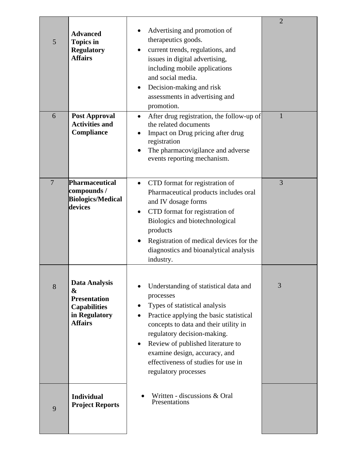| 5              | <b>Advanced</b><br><b>Topics in</b><br><b>Regulatory</b><br><b>Affairs</b>                                 | Advertising and promotion of<br>therapeutics goods.<br>current trends, regulations, and<br>issues in digital advertising,<br>including mobile applications<br>and social media.<br>Decision-making and risk<br>assessments in advertising and<br>promotion.                                                                                      | $\overline{2}$ |
|----------------|------------------------------------------------------------------------------------------------------------|--------------------------------------------------------------------------------------------------------------------------------------------------------------------------------------------------------------------------------------------------------------------------------------------------------------------------------------------------|----------------|
| 6              | <b>Post Approval</b><br><b>Activities and</b><br>Compliance                                                | After drug registration, the follow-up of<br>$\bullet$<br>the related documents<br>Impact on Drug pricing after drug<br>registration<br>The pharmacovigilance and adverse<br>events reporting mechanism.                                                                                                                                         | 1              |
| $\overline{7}$ | Pharmaceutical<br>compounds /<br><b>Biologics/Medical</b><br>devices                                       | CTD format for registration of<br>$\bullet$<br>Pharmaceutical products includes oral<br>and IV dosage forms<br>CTD format for registration of<br>٠<br>Biologics and biotechnological<br>products<br>Registration of medical devices for the<br>diagnostics and bioanalytical analysis<br>industry.                                               | 3              |
| 8              | <b>Data Analysis</b><br>&<br><b>Presentation</b><br><b>Capabilities</b><br>in Regulatory<br><b>Affairs</b> | Understanding of statistical data and<br>processes<br>Types of statistical analysis<br>Practice applying the basic statistical<br>concepts to data and their utility in<br>regulatory decision-making.<br>Review of published literature to<br>٠<br>examine design, accuracy, and<br>effectiveness of studies for use in<br>regulatory processes | 3              |
| 9              | <b>Individual</b><br><b>Project Reports</b>                                                                | Written - discussions & Oral<br>Presentations                                                                                                                                                                                                                                                                                                    |                |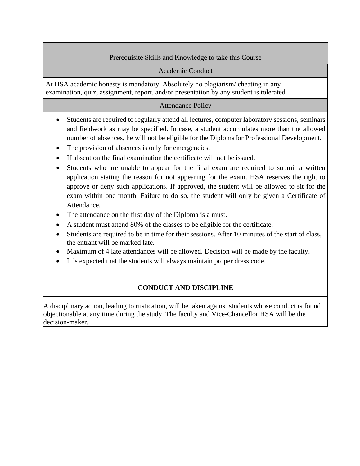## Prerequisite Skills and Knowledge to take this Course

### Academic Conduct

At HSA academic honesty is mandatory. Absolutely no plagiarism/ cheating in any examination, quiz, assignment, report, and/or presentation by any student is tolerated.

### Attendance Policy

- Students are required to regularly attend all lectures, computer laboratory sessions, seminars and fieldwork as may be specified. In case, a student accumulates more than the allowed number of absences, he will not be eligible for the Diplomafor Professional Development.
- The provision of absences is only for emergencies.
- If absent on the final examination the certificate will not be issued.
- Students who are unable to appear for the final exam are required to submit a written application stating the reason for not appearing for the exam. HSA reserves the right to approve or deny such applications. If approved, the student will be allowed to sit for the exam within one month. Failure to do so, the student will only be given a Certificate of Attendance.
- The attendance on the first day of the Diploma is a must.
- A student must attend 80% of the classes to be eligible for the certificate.
- Students are required to be in time for their sessions. After 10 minutes of the start of class, the entrant will be marked late.
- Maximum of 4 late attendances will be allowed. Decision will be made by the faculty.
- It is expected that the students will always maintain proper dress code.

# **CONDUCT AND DISCIPLINE**

A disciplinary action, leading to rustication, will be taken against students whose conduct is found objectionable at any time during the study. The faculty and Vice-Chancellor HSA will be the decision-maker.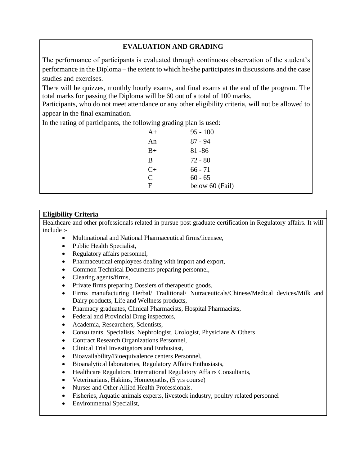# **EVALUATION AND GRADING**

The performance of participants is evaluated through continuous observation of the student's performance in the Diploma – the extent to which he/she participates in discussions and the case studies and exercises.

There will be quizzes, monthly hourly exams, and final exams at the end of the program. The total marks for passing the Diploma will be 60 out of a total of 100 marks.

Participants, who do not meet attendance or any other eligibility criteria, will not be allowed to appear in the final examination.

In the rating of participants, the following grading plan is used:

| $A+$          | $95 - 100$      |
|---------------|-----------------|
| An            | $87 - 94$       |
| $B+$          | $81 - 86$       |
| B             | $72 - 80$       |
| $C+$          | $66 - 71$       |
| $\mathcal{C}$ | $60 - 65$       |
| F             | below 60 (Fail) |
|               |                 |

## **Eligibility Criteria**

Healthcare and other professionals related in pursue post graduate certification in Regulatory affairs. It will include :-

- Multinational and National Pharmaceutical firms/licensee,
- Public Health Specialist,
- Regulatory affairs personnel,
- Pharmaceutical employees dealing with import and export,
- Common Technical Documents preparing personnel,
- Clearing agents/firms,
- Private firms preparing Dossiers of the rapeutic goods,
- Firms manufacturing Herbal/ Traditional/ Nutraceuticals/Chinese/Medical devices/Milk and Dairy products, Life and Wellness products,
- Pharmacy graduates, Clinical Pharmacists, Hospital Pharmacists,
- Federal and Provincial Drug inspectors,
- Academia, Researchers, Scientists,
- Consultants, Specialists, Nephrologist, Urologist, Physicians & Others
- Contract Research Organizations Personnel,
- Clinical Trial Investigators and Enthusiast,
- Bioavailability/Bioequivalence centers Personnel,
- Bioanalytical laboratories, Regulatory Affairs Enthusiasts,
- Healthcare Regulators, International Regulatory Affairs Consultants,
- Veterinarians, Hakims, Homeopaths, (5 yrs course)
- Nurses and Other Allied Health Professionals.
- Fisheries, Aquatic animals experts, livestock industry, poultry related personnel
- Environmental Specialist,